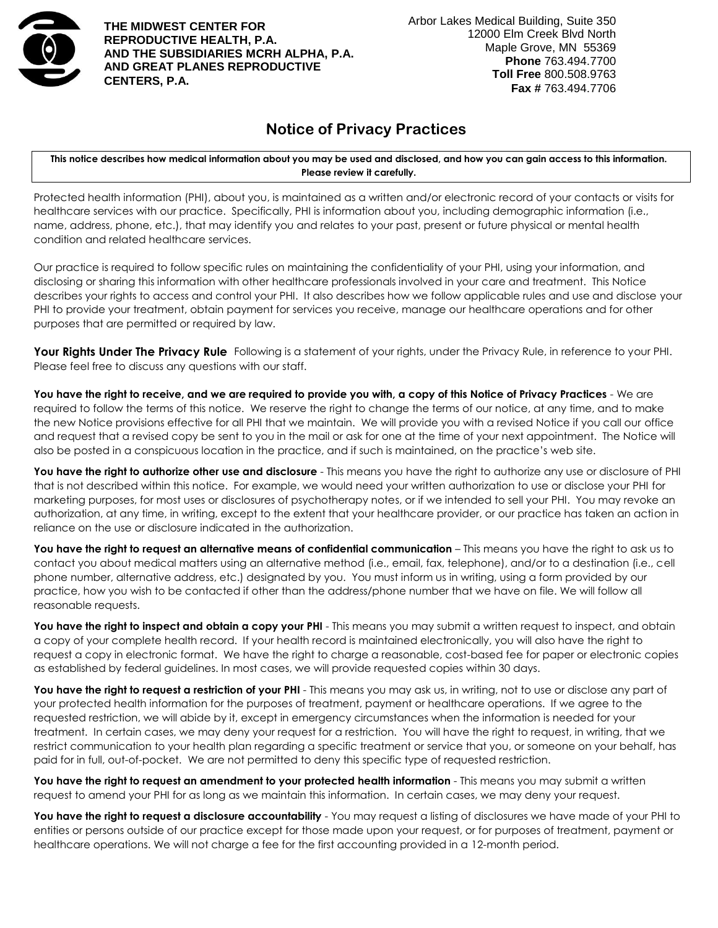

**THE MIDWEST CENTER FOR REPRODUCTIVE HEALTH, P.A. AND THE SUBSIDIARIES MCRH ALPHA, P.A. AND GREAT PLANES REPRODUCTIVE CENTERS, P.A.**

## **Notice of Privacy Practices**

**This notice describes how medical information about you may be used and disclosed, and how you can gain access to this information. Please review it carefully.**

Protected health information (PHI), about you, is maintained as a written and/or electronic record of your contacts or visits for healthcare services with our practice. Specifically, PHI is information about you, including demographic information (i.e., name, address, phone, etc.), that may identify you and relates to your past, present or future physical or mental health condition and related healthcare services.

Our practice is required to follow specific rules on maintaining the confidentiality of your PHI, using your information, and disclosing or sharing this information with other healthcare professionals involved in your care and treatment. This Notice describes your rights to access and control your PHI. It also describes how we follow applicable rules and use and disclose your PHI to provide your treatment, obtain payment for services you receive, manage our healthcare operations and for other purposes that are permitted or required by law.

**Your Rights Under The Privacy Rule** Following is a statement of your rights, under the Privacy Rule, in reference to your PHI. Please feel free to discuss any questions with our staff.

**You have the right to receive, and we are required to provide you with, a copy of this Notice of Privacy Practices** - We are required to follow the terms of this notice. We reserve the right to change the terms of our notice, at any time, and to make the new Notice provisions effective for all PHI that we maintain. We will provide you with a revised Notice if you call our office and request that a revised copy be sent to you in the mail or ask for one at the time of your next appointment. The Notice will also be posted in a conspicuous location in the practice, and if such is maintained, on the practice's web site.

**You have the right to authorize other use and disclosure** - This means you have the right to authorize any use or disclosure of PHI that is not described within this notice. For example, we would need your written authorization to use or disclose your PHI for marketing purposes, for most uses or disclosures of psychotherapy notes, or if we intended to sell your PHI. You may revoke an authorization, at any time, in writing, except to the extent that your healthcare provider, or our practice has taken an action in reliance on the use or disclosure indicated in the authorization.

**You have the right to request an alternative means of confidential communication** – This means you have the right to ask us to contact you about medical matters using an alternative method (i.e., email, fax, telephone), and/or to a destination (i.e., cell phone number, alternative address, etc.) designated by you. You must inform us in writing, using a form provided by our practice, how you wish to be contacted if other than the address/phone number that we have on file. We will follow all reasonable requests.

You have the right to inspect and obtain a copy your PHI - This means you may submit a written request to inspect, and obtain a copy of your complete health record. If your health record is maintained electronically, you will also have the right to request a copy in electronic format. We have the right to charge a reasonable, cost-based fee for paper or electronic copies as established by federal guidelines. In most cases, we will provide requested copies within 30 days.

You have the right to request a restriction of your PHI - This means you may ask us, in writing, not to use or disclose any part of your protected health information for the purposes of treatment, payment or healthcare operations. If we agree to the requested restriction, we will abide by it, except in emergency circumstances when the information is needed for your treatment. In certain cases, we may deny your request for a restriction. You will have the right to request, in writing, that we restrict communication to your health plan regarding a specific treatment or service that you, or someone on your behalf, has paid for in full, out-of-pocket. We are not permitted to deny this specific type of requested restriction.

**You have the right to request an amendment to your protected health information** - This means you may submit a written request to amend your PHI for as long as we maintain this information. In certain cases, we may deny your request.

You have the right to request a disclosure accountability - You may request a listing of disclosures we have made of your PHI to entities or persons outside of our practice except for those made upon your request, or for purposes of treatment, payment or healthcare operations. We will not charge a fee for the first accounting provided in a 12-month period.